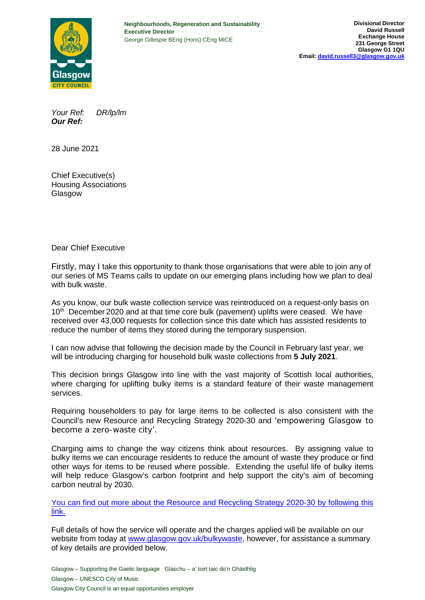

*Your Ref: DR/lp/lm Our Ref:*

28 June 2021

Chief Executive(s) Housing Associations Glasgow

Dear Chief Executive

Firstly, may I take this opportunity to thank those organisations that were able to join any of our series of MS Teams calls to update on our emerging plans including how we plan to deal with bulk waste.

As you know, our bulk waste collection service was reintroduced on a request-only basis on 10<sup>th</sup> December 2020 and at that time core bulk (pavement) uplifts were ceased. We have received over 43,000 requests for collection since this date which has assisted residents to reduce the number of items they stored during the temporary suspension.

I can now advise that following the decision made by the Council in February last year, we will be introducing charging for household bulk waste collections from **5 July 2021**.

This decision brings Glasgow into line with the vast majority of Scottish local authorities, where charging for uplifting bulky items is a standard feature of their waste management services.

Requiring householders to pay for large items to be collected is also consistent with the Council's new Resource and Recycling Strategy 2020-30 and 'empowering Glasgow to become a zero-waste city'.

Charging aims to change the way citizens think about resources. By assigning value to bulky items we can encourage residents to reduce the amount of waste they produce or find other ways for items to be reused where possible. Extending the useful life of bulky items will help reduce Glasgow's carbon footprint and help support the city's aim of becoming carbon neutral by 2030.

You can find out more about the Resource and Recycling Strategy 2020-30 by following this link.

Full details of how the service will operate and the charges applied will be available on our website from today at www.glasgow.gov.uk/bulkywaste, however, for assistance a summary of key details are provided below.

Glasgow – Supporting the Gaelic language Glaschu – a' toirt taic do'n Ghàidhlig Glasgow – UNESCO City of Music Glasgow City Council is an equal opportunities employer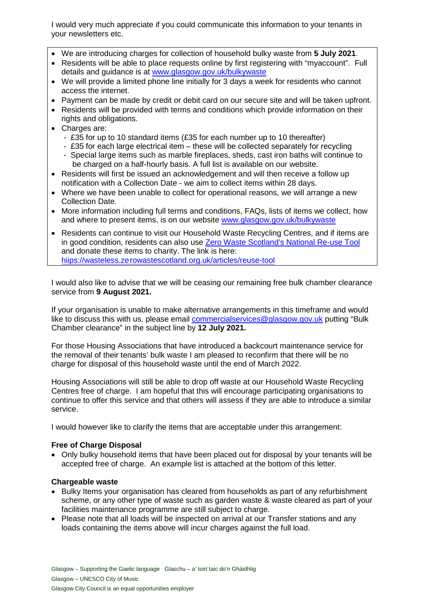I would very much appreciate if you could communicate this information to your tenants in your newsletters etc.

- We are introducing charges for collection of household bulky waste from **5 July 2021**.
- Residents will be able to place requests online by first registering with "myaccount". Full details and guidance is at www.glasgow.gov.uk/bulkywaste
- We will provide a limited phone line initially for 3 days a week for residents who cannot access the internet.
- Payment can be made by credit or debit card on our secure site and will be taken upfront.
- Residents will be provided with terms and conditions which provide information on their rights and obligations.
- Charges are:
	- £35 for up to 10 standard items (£35 for each number up to 10 thereafter)
	- £35 for each large electrical item these will be collected separately for recycling
	- Special large items such as marble fireplaces, sheds, cast iron baths will continue to be charged on a half-hourly basis. A full list is available on our website.
- Residents will first be issued an acknowledgement and will then receive a follow up notification with a Collection Date - we aim to collect items within 28 days.
- Where we have been unable to collect for operational reasons, we will arrange a new Collection Date.
- More information including full terms and conditions, FAQs, lists of items we collect, how and where to present items, is on our website www.glasgow.gov.uk/bulkywaste
- Residents can continue to visit our Household Waste Recycling Centres, and if items are in good condition, residents can also use Zero Waste Scotland's National Re-use Tool and donate these items to charity. The link is here: hiips://wasteless.zerowastescotland.org.uk/articles/reuse-tool

I would also like to advise that we will be ceasing our remaining free bulk chamber clearance service from **9 August 2021.**

If your organisation is unable to make alternative arrangements in this timeframe and would like to discuss this with us, please email commercialservices@glasgow.gov.uk putting "Bulk" Chamber clearance" in the subject line by **12 July 2021.**

For those Housing Associations that have introduced a backcourt maintenance service for the removal of their tenants' bulk waste I am pleased to reconfirm that there will be no charge for disposal of this household waste until the end of March 2022.

Housing Associations will still be able to drop off waste at our Household Waste Recycling Centres free of charge. I am hopeful that this will encourage participating organisations to continue to offer this service and that others will assess if they are able to introduce a similar service.

I would however like to clarify the items that are acceptable under this arrangement:

# **Free of Charge Disposal**

• Only bulky household items that have been placed out for disposal by your tenants will be accepted free of charge. An example list is attached at the bottom of this letter.

# **Chargeable waste**

- Bulky Items your organisation has cleared from households as part of any refurbishment scheme, or any other type of waste such as garden waste & waste cleared as part of your facilities maintenance programme are still subject to charge.
- Please note that all loads will be inspected on arrival at our Transfer stations and any loads containing the items above will incur charges against the full load.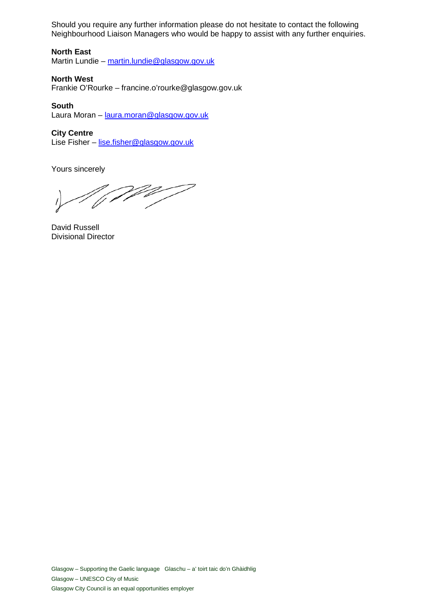Should you require any further information please do not hesitate to contact the following Neighbourhood Liaison Managers who would be happy to assist with any further enquiries.

## **North East**

Martin Lundie – martin.lundie@glasgow.gov.uk

#### **North West**

Frankie O'Rourke – francine.o'rourke@glasgow.gov.uk

#### **South**

Laura Moran – laura.moran@glasgow.gov.uk

### **City Centre**

Lise Fisher – lise.fisher@glasgow.gov.uk

Yours sincerely

*A (WW)* 

David Russell Divisional Director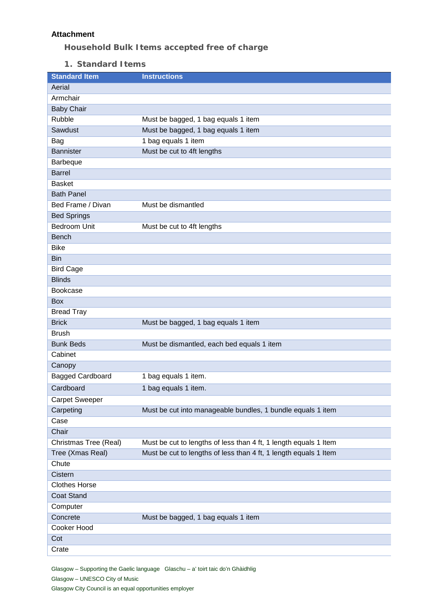## **Attachment**

**Household Bulk Items accepted free of charge**

**1. Standard Items**

| <b>Standard Item</b>    | <b>Instructions</b>                                              |
|-------------------------|------------------------------------------------------------------|
| Aerial                  |                                                                  |
| Armchair                |                                                                  |
| <b>Baby Chair</b>       |                                                                  |
| <b>Rubble</b>           | Must be bagged, 1 bag equals 1 item                              |
| Sawdust                 | Must be bagged, 1 bag equals 1 item                              |
| Bag                     | 1 bag equals 1 item                                              |
| <b>Bannister</b>        | Must be cut to 4ft lengths                                       |
| Barbeque                |                                                                  |
| <b>Barrel</b>           |                                                                  |
| <b>Basket</b>           |                                                                  |
| <b>Bath Panel</b>       |                                                                  |
| Bed Frame / Divan       | Must be dismantled                                               |
| <b>Bed Springs</b>      |                                                                  |
| <b>Bedroom Unit</b>     | Must be cut to 4ft lengths                                       |
| <b>Bench</b>            |                                                                  |
| <b>Bike</b>             |                                                                  |
| <b>Bin</b>              |                                                                  |
| <b>Bird Cage</b>        |                                                                  |
| <b>Blinds</b>           |                                                                  |
| Bookcase                |                                                                  |
| <b>Box</b>              |                                                                  |
| <b>Bread Tray</b>       |                                                                  |
| <b>Brick</b>            | Must be bagged, 1 bag equals 1 item                              |
| <b>Brush</b>            |                                                                  |
| <b>Bunk Beds</b>        | Must be dismantled, each bed equals 1 item                       |
| Cabinet                 |                                                                  |
| Canopy                  |                                                                  |
| <b>Bagged Cardboard</b> | 1 bag equals 1 item.                                             |
| Cardboard               | 1 bag equals 1 item.                                             |
| <b>Carpet Sweeper</b>   |                                                                  |
| Carpeting               | Must be cut into manageable bundles, 1 bundle equals 1 item      |
| Case                    |                                                                  |
| Chair                   |                                                                  |
| Christmas Tree (Real)   | Must be cut to lengths of less than 4 ft, 1 length equals 1 ltem |
| Tree (Xmas Real)        | Must be cut to lengths of less than 4 ft, 1 length equals 1 ltem |
| Chute                   |                                                                  |
| Cistern                 |                                                                  |
| <b>Clothes Horse</b>    |                                                                  |
| <b>Coat Stand</b>       |                                                                  |
| Computer                |                                                                  |
| Concrete                | Must be bagged, 1 bag equals 1 item                              |
| Cooker Hood             |                                                                  |
| Cot                     |                                                                  |
| Crate                   |                                                                  |

Glasgow – Supporting the Gaelic language Glaschu – a' toirt taic do'n Ghàidhlig Glasgow – UNESCO City of Music Glasgow City Council is an equal opportunities employer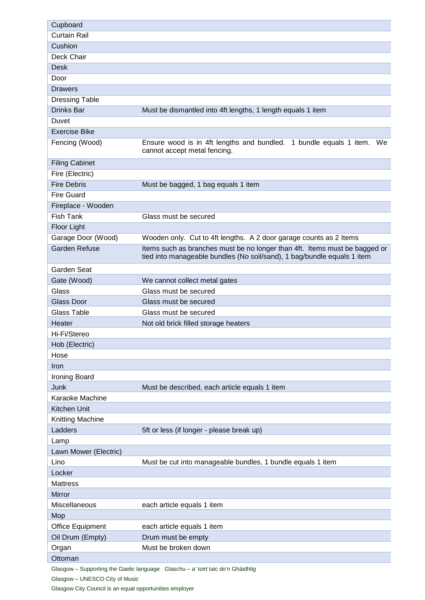| Cupboard                |                                                                                                                                                       |
|-------------------------|-------------------------------------------------------------------------------------------------------------------------------------------------------|
| <b>Curtain Rail</b>     |                                                                                                                                                       |
| Cushion                 |                                                                                                                                                       |
| Deck Chair              |                                                                                                                                                       |
| <b>Desk</b>             |                                                                                                                                                       |
| Door                    |                                                                                                                                                       |
| Drawers                 |                                                                                                                                                       |
| <b>Dressing Table</b>   |                                                                                                                                                       |
| Drinks Bar              | Must be dismantled into 4ft lengths, 1 length equals 1 item                                                                                           |
| Duvet                   |                                                                                                                                                       |
| <b>Exercise Bike</b>    |                                                                                                                                                       |
| Fencing (Wood)          | Ensure wood is in 4ft lengths and bundled. 1 bundle equals 1 item. We<br>cannot accept metal fencing.                                                 |
| <b>Filing Cabinet</b>   |                                                                                                                                                       |
| Fire (Electric)         |                                                                                                                                                       |
| <b>Fire Debris</b>      | Must be bagged, 1 bag equals 1 item                                                                                                                   |
| <b>Fire Guard</b>       |                                                                                                                                                       |
| Fireplace - Wooden      |                                                                                                                                                       |
| <b>Fish Tank</b>        | Glass must be secured                                                                                                                                 |
| Floor Light             |                                                                                                                                                       |
| Garage Door (Wood)      | Wooden only. Cut to 4ft lengths. A 2 door garage counts as 2 Items                                                                                    |
| <b>Garden Refuse</b>    | Items such as branches must be no longer than 4ft. Items must be bagged or<br>tied into manageable bundles (No soil/sand), 1 bag/bundle equals 1 item |
| <b>Garden Seat</b>      |                                                                                                                                                       |
| Gate (Wood)             | We cannot collect metal gates                                                                                                                         |
| Glass                   | Glass must be secured                                                                                                                                 |
| <b>Glass Door</b>       | Glass must be secured                                                                                                                                 |
| Glass Table             | Glass must be secured                                                                                                                                 |
| Heater                  | Not old brick filled storage heaters                                                                                                                  |
| Hi-Fi/Stereo            |                                                                                                                                                       |
| Hob (Electric)          |                                                                                                                                                       |
| Hose                    |                                                                                                                                                       |
| Iron                    |                                                                                                                                                       |
| Ironing Board           |                                                                                                                                                       |
| Junk                    | Must be described, each article equals 1 item                                                                                                         |
| Karaoke Machine         |                                                                                                                                                       |
| Kitchen Unit            |                                                                                                                                                       |
| Knitting Machine        |                                                                                                                                                       |
| Ladders                 | 5ft or less (if longer - please break up)                                                                                                             |
| Lamp                    |                                                                                                                                                       |
| Lawn Mower (Electric)   |                                                                                                                                                       |
| Lino                    | Must be cut into manageable bundles, 1 bundle equals 1 item                                                                                           |
| Locker                  |                                                                                                                                                       |
| <b>Mattress</b>         |                                                                                                                                                       |
| Mirror                  |                                                                                                                                                       |
| Miscellaneous           | each article equals 1 item                                                                                                                            |
| Mop                     |                                                                                                                                                       |
| <b>Office Equipment</b> | each article equals 1 item                                                                                                                            |
| Oil Drum (Empty)        | Drum must be empty                                                                                                                                    |
| Organ                   | Must be broken down                                                                                                                                   |
| Ottoman                 |                                                                                                                                                       |
|                         | Glasgow - Supporting the Gaelic language Glaschu - a' toirt taic do'n Ghàidhlig                                                                       |

Glasgow – UNESCO City of Music

Glasgow City Council is an equal opportunities employer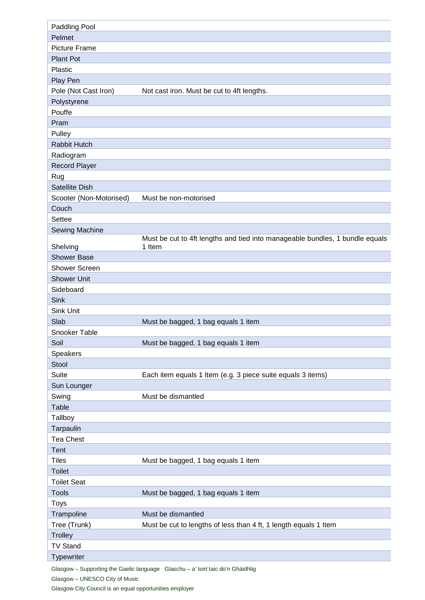| Paddling Pool                 |                                                                              |
|-------------------------------|------------------------------------------------------------------------------|
| Pelmet                        |                                                                              |
| <b>Picture Frame</b>          |                                                                              |
| <b>Plant Pot</b>              |                                                                              |
| Plastic                       |                                                                              |
| Play Pen                      |                                                                              |
| Pole (Not Cast Iron)          | Not cast iron. Must be cut to 4ft lengths.                                   |
| Polystyrene                   |                                                                              |
| Pouffe                        |                                                                              |
| Pram                          |                                                                              |
| Pulley                        |                                                                              |
| Rabbit Hutch                  |                                                                              |
| Radiogram                     |                                                                              |
| <b>Record Player</b>          |                                                                              |
| Rug                           |                                                                              |
| Satellite Dish                |                                                                              |
| Scooter (Non-Motorised)       | Must be non-motorised                                                        |
| Couch                         |                                                                              |
| Settee                        |                                                                              |
| Sewing Machine                |                                                                              |
|                               | Must be cut to 4ft lengths and tied into manageable bundles, 1 bundle equals |
| Shelving                      | 1 Item                                                                       |
| <b>Shower Base</b>            |                                                                              |
| <b>Shower Screen</b>          |                                                                              |
| <b>Shower Unit</b>            |                                                                              |
| Sideboard                     |                                                                              |
| <b>Sink</b>                   |                                                                              |
| Sink Unit                     |                                                                              |
| Slab                          | Must be bagged, 1 bag equals 1 item                                          |
| Snooker Table                 |                                                                              |
| Soil                          | Must be bagged, 1 bag equals 1 item                                          |
| Speakers                      |                                                                              |
| Stool                         |                                                                              |
| Suite                         | Each item equals 1 Item (e.g. 3 piece suite equals 3 items)                  |
| Sun Lounger                   |                                                                              |
| Swing                         | Must be dismantled                                                           |
| <b>Table</b>                  |                                                                              |
| Tallboy                       |                                                                              |
| Tarpaulin                     |                                                                              |
| <b>Tea Chest</b>              |                                                                              |
| <b>Tent</b>                   |                                                                              |
| <b>Tiles</b>                  | Must be bagged, 1 bag equals 1 item                                          |
| <b>Toilet</b>                 |                                                                              |
| <b>Toilet Seat</b>            |                                                                              |
| <b>Tools</b>                  | Must be bagged, 1 bag equals 1 item                                          |
| <b>Toys</b>                   |                                                                              |
| Trampoline                    |                                                                              |
| Tree (Trunk)                  | Must be dismantled                                                           |
|                               | Must be cut to lengths of less than 4 ft, 1 length equals 1 Item             |
| <b>Trolley</b>                |                                                                              |
| <b>TV Stand</b><br>Typewriter |                                                                              |

Glasgow – Supporting the Gaelic language Glaschu – a' toirt taic do'n Ghàidhlig Glasgow – UNESCO City of Music

Glasgow City Council is an equal opportunities employer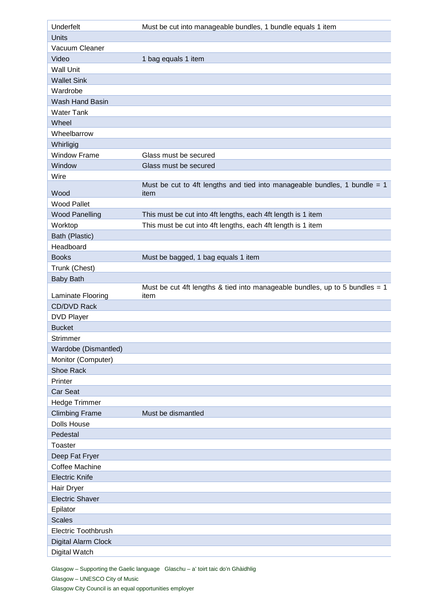| Underfelt                  | Must be cut into manageable bundles, 1 bundle equals 1 item                         |
|----------------------------|-------------------------------------------------------------------------------------|
| <b>Units</b>               |                                                                                     |
| Vacuum Cleaner             |                                                                                     |
| Video                      | 1 bag equals 1 item                                                                 |
| <b>Wall Unit</b>           |                                                                                     |
| <b>Wallet Sink</b>         |                                                                                     |
| Wardrobe                   |                                                                                     |
| Wash Hand Basin            |                                                                                     |
| <b>Water Tank</b>          |                                                                                     |
| Wheel                      |                                                                                     |
| Wheelbarrow                |                                                                                     |
| Whirligig                  |                                                                                     |
| <b>Window Frame</b>        | Glass must be secured                                                               |
| Window                     | Glass must be secured                                                               |
| Wire                       |                                                                                     |
| Wood                       | Must be cut to 4ft lengths and tied into manageable bundles, 1 bundle = $1$<br>item |
| <b>Wood Pallet</b>         |                                                                                     |
| <b>Wood Panelling</b>      | This must be cut into 4ft lengths, each 4ft length is 1 item                        |
| Worktop                    | This must be cut into 4ft lengths, each 4ft length is 1 item                        |
| Bath (Plastic)             |                                                                                     |
| Headboard                  |                                                                                     |
| <b>Books</b>               | Must be bagged, 1 bag equals 1 item                                                 |
| Trunk (Chest)              |                                                                                     |
| <b>Baby Bath</b>           |                                                                                     |
|                            | Must be cut 4ft lengths & tied into manageable bundles, up to 5 bundles = $1$       |
| Laminate Flooring          | item                                                                                |
| CD/DVD Rack                |                                                                                     |
| <b>DVD Player</b>          |                                                                                     |
| <b>Bucket</b>              |                                                                                     |
| Strimmer                   |                                                                                     |
| Wardobe (Dismantled)       |                                                                                     |
| Monitor (Computer)         |                                                                                     |
| Shoe Rack                  |                                                                                     |
| Printer                    |                                                                                     |
| Car Seat                   |                                                                                     |
| Hedge Trimmer              |                                                                                     |
| <b>Climbing Frame</b>      | Must be dismantled                                                                  |
| <b>Dolls House</b>         |                                                                                     |
| Pedestal                   |                                                                                     |
| <b>Toaster</b>             |                                                                                     |
| Deep Fat Fryer             |                                                                                     |
| <b>Coffee Machine</b>      |                                                                                     |
| <b>Electric Knife</b>      |                                                                                     |
| Hair Dryer                 |                                                                                     |
| <b>Electric Shaver</b>     |                                                                                     |
| Epilator                   |                                                                                     |
| <b>Scales</b>              |                                                                                     |
| <b>Electric Toothbrush</b> |                                                                                     |
| Digital Alarm Clock        |                                                                                     |
| Digital Watch              |                                                                                     |

Glasgow – Supporting the Gaelic language Glaschu – a' toirt taic do'n Ghàidhlig Glasgow – UNESCO City of Music Glasgow City Council is an equal opportunities employer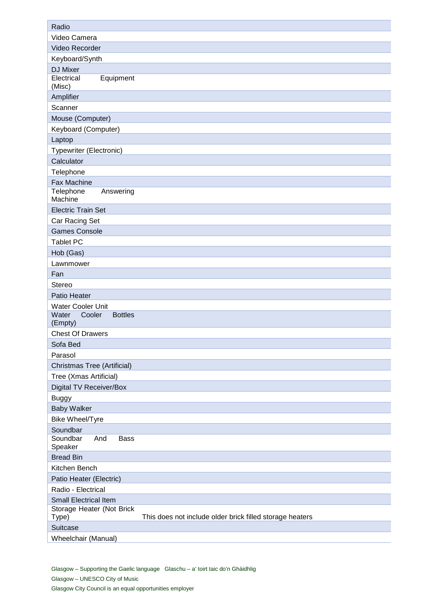| Radio                                                                         |
|-------------------------------------------------------------------------------|
| Video Camera                                                                  |
| Video Recorder                                                                |
| Keyboard/Synth                                                                |
| DJ Mixer                                                                      |
| Electrical<br>Equipment<br>(Misc)                                             |
| Amplifier                                                                     |
| Scanner                                                                       |
| Mouse (Computer)                                                              |
| Keyboard (Computer)                                                           |
| Laptop                                                                        |
| <b>Typewriter (Electronic)</b>                                                |
| Calculator                                                                    |
| Telephone                                                                     |
| Fax Machine                                                                   |
| Telephone<br>Answering                                                        |
| Machine                                                                       |
| <b>Electric Train Set</b>                                                     |
| Car Racing Set                                                                |
| <b>Games Console</b>                                                          |
| <b>Tablet PC</b>                                                              |
| Hob (Gas)                                                                     |
| Lawnmower                                                                     |
| Fan                                                                           |
| Stereo                                                                        |
| Patio Heater                                                                  |
| Water Cooler Unit<br>Water<br>Cooler<br><b>Bottles</b>                        |
| (Empty)                                                                       |
| <b>Chest Of Drawers</b>                                                       |
| Sofa Bed                                                                      |
| Parasol                                                                       |
| <b>Christmas Tree (Artificial)</b>                                            |
| Tree (Xmas Artificial)                                                        |
| Digital TV Receiver/Box                                                       |
| <b>Buggy</b>                                                                  |
| <b>Baby Walker</b>                                                            |
| Bike Wheel/Tyre                                                               |
| Soundbar                                                                      |
| Soundbar<br>And<br><b>Bass</b><br>Speaker                                     |
| <b>Bread Bin</b>                                                              |
| Kitchen Bench                                                                 |
| Patio Heater (Electric)                                                       |
| Radio - Electrical                                                            |
| <b>Small Electrical Item</b>                                                  |
| Storage Heater (Not Brick                                                     |
| Type)<br>This does not include older brick filled storage heaters<br>Suitcase |
|                                                                               |
| Wheelchair (Manual)                                                           |